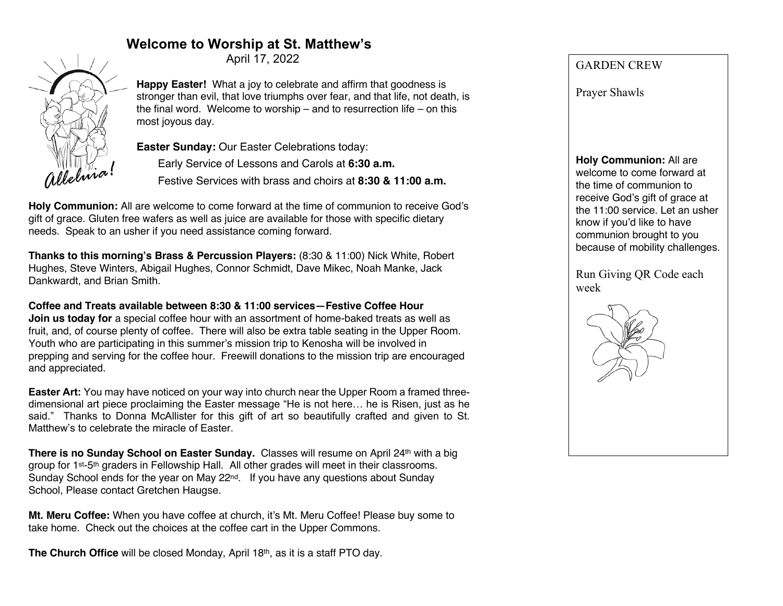# **Welcome to Worship at St. Matthew's**

April 17, 2022



**Happy Easter!** What a joy to celebrate and affirm that goodness is stronger than evil, that love triumphs over fear, and that life, not death, is the final word. Welcome to worship – and to resurrection life – on this most joyous day.

**Easter Sunday:** Our Easter Celebrations today:

Early Service of Lessons and Carols at **6:30 a.m.**

Festive Services with brass and choirs at **8:30 & 11:00 a.m.**

**Holy Communion:** All are welcome to come forward at the time of communion to receive God's gift of grace. Gluten free wafers as well as juice are available for those with specific dietary needs. Speak to an usher if you need assistance coming forward.

**Thanks to this morning's Brass & Percussion Players:** (8:30 & 11:00) Nick White, Robert Hughes, Steve Winters, Abigail Hughes, Connor Schmidt, Dave Mikec, Noah Manke, Jack Dankwardt, and Brian Smith.

**Coffee and Treats available between 8:30 & 11:00 services—Festive Coffee Hour Join us today for** a special coffee hour with an assortment of home-baked treats as well as fruit, and, of course plenty of coffee. There will also be extra table seating in the Upper Room. Youth who are participating in this summer's mission trip to Kenosha will be involved in prepping and serving for the coffee hour. Freewill donations to the mission trip are encouraged and appreciated.

**Easter Art:** You may have noticed on your way into church near the Upper Room a framed threedimensional art piece proclaiming the Easter message "He is not here… he is Risen, just as he said." Thanks to Donna McAllister for this gift of art so beautifully crafted and given to St. Matthew's to celebrate the miracle of Easter.

**There is no Sunday School on Easter Sunday.** Classes will resume on April 24<sup>th</sup> with a big group for 1st-5th graders in Fellowship Hall. All other grades will meet in their classrooms. Sunday School ends for the year on May  $22^{nd}$ . If you have any questions about Sunday School, Please contact Gretchen Haugse.

**Mt. Meru Coffee:** When you have coffee at church, it's Mt. Meru Coffee! Please buy some to take home. Check out the choices at the coffee cart in the Upper Commons.

**The Church Office** will be closed Monday, April 18<sup>th</sup>, as it is a staff PTO day.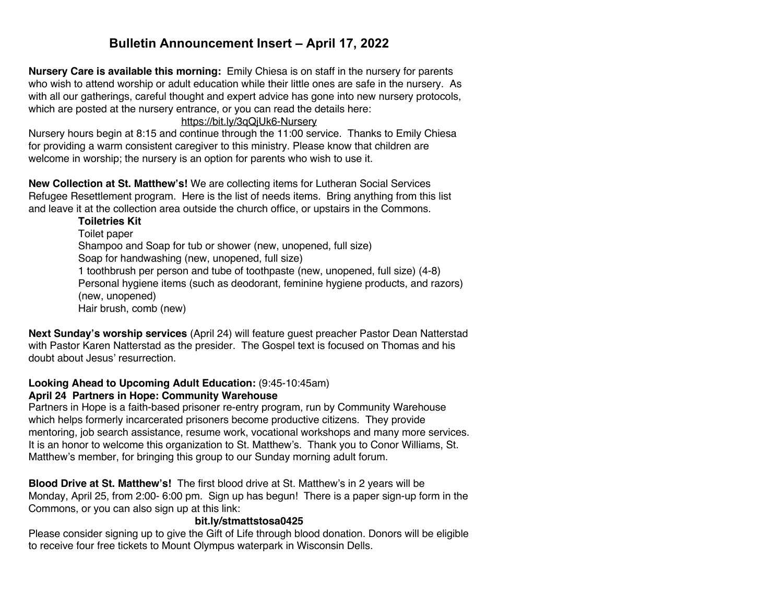# **Bulletin Announcement Insert – April 17, 2022**

**Nursery Care is available this morning:** Emily Chiesa is on staff in the nursery for parents who wish to attend worship or adult education while their little ones are safe in the nursery. As with all our gatherings, careful thought and expert advice has gone into new nursery protocols, which are posted at the nursery entrance, or you can read the details here:

### https://bit.ly/3qQjUk6-Nursery

Nursery hours begin at 8:15 and continue through the 11:00 service. Thanks to Emily Chiesa for providing a warm consistent caregiver to this ministry. Please know that children are welcome in worship; the nursery is an option for parents who wish to use it.

**New Collection at St. Matthew's!** We are collecting items for Lutheran Social Services Refugee Resettlement program. Here is the list of needs items. Bring anything from this list and leave it at the collection area outside the church office, or upstairs in the Commons.

#### **Toiletries Kit**

Toilet paper Shampoo and Soap for tub or shower (new, unopened, full size) Soap for handwashing (new, unopened, full size) 1 toothbrush per person and tube of toothpaste (new, unopened, full size) (4-8) Personal hygiene items (such as deodorant, feminine hygiene products, and razors) (new, unopened) Hair brush, comb (new)

**Next Sunday's worship services** (April 24) will feature guest preacher Pastor Dean Natterstad with Pastor Karen Natterstad as the presider. The Gospel text is focused on Thomas and his doubt about Jesus' resurrection.

# **Looking Ahead to Upcoming Adult Education:** (9:45-10:45am)

#### **April 24 Partners in Hope: Community Warehouse**

Partners in Hope is a faith-based prisoner re-entry program, run by Community Warehouse which helps formerly incarcerated prisoners become productive citizens. They provide mentoring, job search assistance, resume work, vocational workshops and many more services. It is an honor to welcome this organization to St. Matthew's. Thank you to Conor Williams, St. Matthew's member, for bringing this group to our Sunday morning adult forum.

**Blood Drive at St. Matthew's!** The first blood drive at St. Matthew's in 2 years will be Monday, April 25, from 2:00- 6:00 pm. Sign up has begun! There is a paper sign-up form in the Commons, or you can also sign up at this link:

### **bit.ly/stmattstosa0425**

Please consider signing up to give the Gift of Life through blood donation. Donors will be eligible to receive four free tickets to Mount Olympus waterpark in Wisconsin Dells.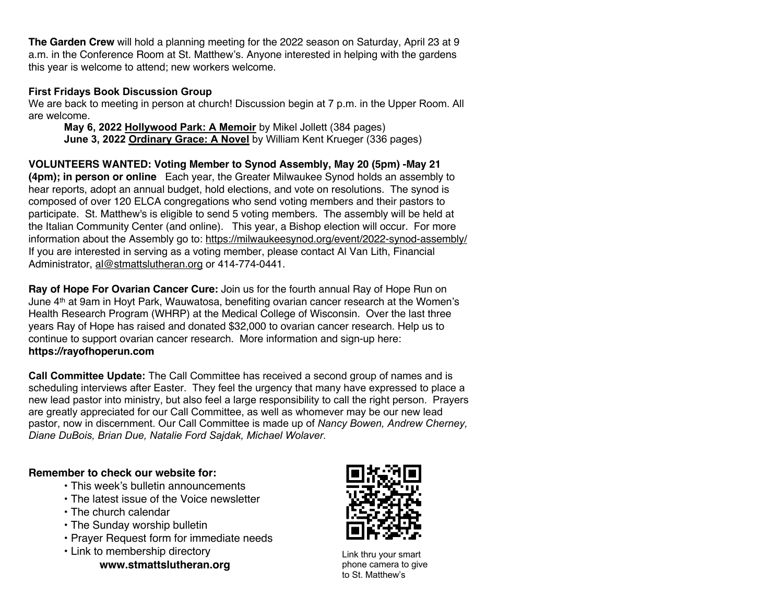**The Garden Crew** will hold a planning meeting for the 2022 season on Saturday, April 23 at 9 a.m. in the Conference Room at St. Matthew's. Anyone interested in helping with the gardens this year is welcome to attend; new workers welcome.

### **First Fridays Book Discussion Group**

We are back to meeting in person at church! Discussion begin at 7 p.m. in the Upper Room. All are welcome.

**May 6, 2022 Hollywood Park: A Memoir** by Mikel Jollett (384 pages) **June 3, 2022 Ordinary Grace: A Novel** by William Kent Krueger (336 pages)

**VOLUNTEERS WANTED: Voting Member to Synod Assembly, May 20 (5pm) -May 21 (4pm); in person or online** Each year, the Greater Milwaukee Synod holds an assembly to hear reports, adopt an annual budget, hold elections, and vote on resolutions. The synod is composed of over 120 ELCA congregations who send voting members and their pastors to participate. St. Matthew's is eligible to send 5 voting members. The assembly will be held at the Italian Community Center (and online). This year, a Bishop election will occur. For more information about the Assembly go to: https://milwaukeesynod.org/event/2022-synod-assembly/ If you are interested in serving as a voting member, please contact Al Van Lith, Financial Administrator, al@stmattslutheran.org or 414-774-0441.

**Ray of Hope For Ovarian Cancer Cure:** Join us for the fourth annual Ray of Hope Run on June 4th at 9am in Hoyt Park, Wauwatosa, benefiting ovarian cancer research at the Women's Health Research Program (WHRP) at the Medical College of Wisconsin. Over the last three years Ray of Hope has raised and donated \$32,000 to ovarian cancer research. Help us to continue to support ovarian cancer research. More information and sign-up here: **https://rayofhoperun.com**

**Call Committee Update:** The Call Committee has received a second group of names and is scheduling interviews after Easter. They feel the urgency that many have expressed to place a new lead pastor into ministry, but also feel a large responsibility to call the right person. Prayers are greatly appreciated for our Call Committee, as well as whomever may be our new lead pastor, now in discernment. Our Call Committee is made up of *Nancy Bowen, Andrew Cherney, Diane DuBois, Brian Due, Natalie Ford Sajdak, Michael Wolaver.*

### **Remember to check our website for:**

- This week's bulletin announcements
- The latest issue of the Voice newsletter
- The church calendar
- The Sunday worship bulletin
- Prayer Request form for immediate needs
- Link to membership directory

**www.stmattslutheran.org**



Link thru your smart phone camera to give to St. Matthew's